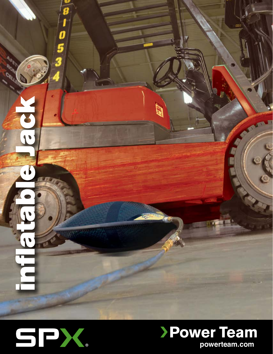



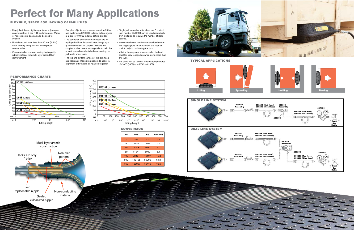

# **Perfect for Many Applications**

## Flexible, Space Age jacking capabilities



Typical applications





- Highly flexible and lightweight jacks only require an air supply of 8 bar (116 psi) maximum. Water or non-explosive gas can also be used for inflation.
- Un-inflated jacks are less than 30 mm (1.2 in) thick, making lifting tasks in small spaces seem routine.
- Constructed of non-conducting, high quality rubber material with multi-layer aramid fiber reinforcement.
- Samples of jacks are pressure tested to 20 bar and cycle tested (10,000 inflate / deflate cycles at 8 bar for 10,000 inflate / deflate cycles).
- The controller, shut-off and air hoses are all equipped with an industrial interchange style quick disconnect air coupler. Female half coupler bodies have a locking collar to help the operator avoid accidentally disconnecting the jack while under load.
- The top and bottom surface of the jack has a skid resistant, interlocking pattern to assist in alignment of two jacks being used together.
- Single jack controller with "dead man" control (part number 350090) can be used individually or in multiples to regulate the number of jacks desired.
- Heavy attachment handles are provided on the two largest jacks for attachment of a rope or hook to help in positioning the jack.
- Inflation hose system is color-coded (red and blue) for easy recognition when using more than one jack.
- The jacks can be used at ambient temperatures of -20°C (-4°F) to +50°C (+122°F).